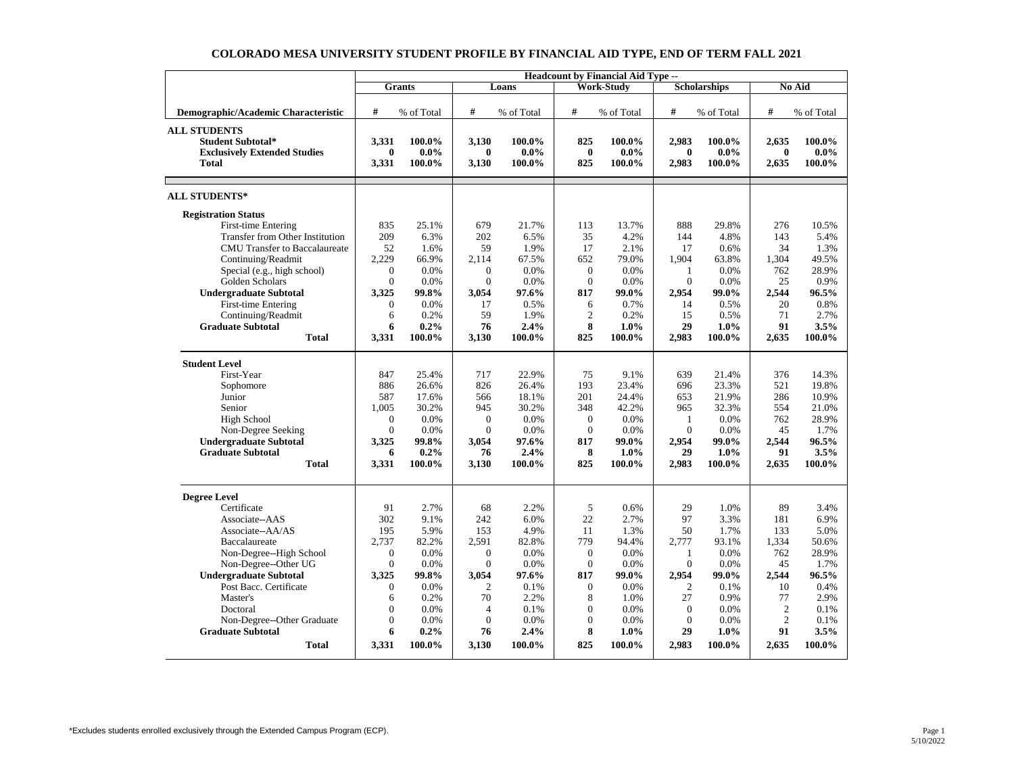|                                        | <b>Headcount by Financial Aid Type --</b> |            |                |            |                  |                   |                     |            |                |            |
|----------------------------------------|-------------------------------------------|------------|----------------|------------|------------------|-------------------|---------------------|------------|----------------|------------|
|                                        |                                           | Grants     |                | Loans      |                  | <b>Work-Study</b> | <b>Scholarships</b> |            | <b>No Aid</b>  |            |
|                                        |                                           |            |                |            |                  |                   |                     |            |                |            |
| Demographic/Academic Characteristic    | #                                         | % of Total | #              | % of Total | #                | % of Total        | #                   | % of Total | #              | % of Total |
| <b>ALL STUDENTS</b>                    |                                           |            |                |            |                  |                   |                     |            |                |            |
| <b>Student Subtotal*</b>               | 3.331                                     | 100.0%     | 3.130          | 100.0%     | 825              | 100.0%            | 2.983               | 100.0%     | 2.635          | 100.0%     |
| <b>Exclusively Extended Studies</b>    | $\bf{0}$                                  | $0.0\%$    | $\bf{0}$       | $0.0\%$    | $\bf{0}$         | $0.0\%$           | $\bf{0}$            | $0.0\%$    | $\bf{0}$       | $0.0\%$    |
| <b>Total</b>                           | 3,331                                     | 100.0%     | 3,130          | 100.0%     | 825              | 100.0%            | 2,983               | 100.0%     | 2,635          | 100.0%     |
|                                        |                                           |            |                |            |                  |                   |                     |            |                |            |
| <b>ALL STUDENTS*</b>                   |                                           |            |                |            |                  |                   |                     |            |                |            |
| <b>Registration Status</b>             |                                           |            |                |            |                  |                   |                     |            |                |            |
| First-time Entering                    | 835                                       | 25.1%      | 679            | 21.7%      | 113              | 13.7%             | 888                 | 29.8%      | 276            | 10.5%      |
| <b>Transfer from Other Institution</b> | 209                                       | 6.3%       | 202            | 6.5%       | 35               | 4.2%              | 144                 | 4.8%       | 143            | 5.4%       |
| <b>CMU</b> Transfer to Baccalaureate   | 52                                        | 1.6%       | 59             | 1.9%       | 17               | 2.1%              | 17                  | 0.6%       | 34             | 1.3%       |
| Continuing/Readmit                     | 2,229                                     | 66.9%      | 2.114          | 67.5%      | 652              | 79.0%             | 1,904               | 63.8%      | 1,304          | 49.5%      |
| Special (e.g., high school)            | $\overline{0}$                            | 0.0%       | $\overline{0}$ | 0.0%       | $\boldsymbol{0}$ | 0.0%              | 1                   | 0.0%       | 762            | 28.9%      |
| Golden Scholars                        | $\Omega$                                  | 0.0%       | $\Omega$       | 0.0%       | $\mathbf{0}$     | 0.0%              | $\Omega$            | 0.0%       | 25             | 0.9%       |
| <b>Undergraduate Subtotal</b>          | 3,325                                     | 99.8%      | 3,054          | 97.6%      | 817              | 99.0%             | 2,954               | 99.0%      | 2,544          | 96.5%      |
| First-time Entering                    | $\Omega$                                  | 0.0%       | 17             | 0.5%       | 6                | 0.7%              | 14                  | 0.5%       | 20             | 0.8%       |
| Continuing/Readmit                     | 6                                         | 0.2%       | 59             | 1.9%       | $\overline{c}$   | 0.2%              | 15                  | 0.5%       | 71             | 2.7%       |
| <b>Graduate Subtotal</b>               | 6                                         | 0.2%       | 76             | 2.4%       | 8                | $1.0\%$           | 29                  | $1.0\%$    | 91             | 3.5%       |
| <b>Total</b>                           | 3,331                                     | 100.0%     | 3,130          | 100.0%     | 825              | 100.0%            | 2,983               | 100.0%     | 2,635          | 100.0%     |
| <b>Student Level</b>                   |                                           |            |                |            |                  |                   |                     |            |                |            |
| First-Year                             | 847                                       | 25.4%      | 717            | 22.9%      | 75               | 9.1%              | 639                 | 21.4%      | 376            | 14.3%      |
| Sophomore                              | 886                                       | 26.6%      | 826            | 26.4%      | 193              | 23.4%             | 696                 | 23.3%      | 521            | 19.8%      |
| Junior                                 | 587                                       | 17.6%      | 566            | 18.1%      | 201              | 24.4%             | 653                 | 21.9%      | 286            | 10.9%      |
| Senior                                 | 1.005                                     | 30.2%      | 945            | 30.2%      | 348              | 42.2%             | 965                 | 32.3%      | 554            | 21.0%      |
| High School                            | $\Omega$                                  | 0.0%       | $\mathbf{0}$   | 0.0%       | $\mathbf{0}$     | 0.0%              | -1                  | 0.0%       | 762            | 28.9%      |
| Non-Degree Seeking                     | $\Omega$                                  | 0.0%       | $\Omega$       | 0.0%       | $\Omega$         | 0.0%              | $\Omega$            | 0.0%       | 45             | 1.7%       |
| <b>Undergraduate Subtotal</b>          | 3,325                                     | 99.8%      | 3,054          | 97.6%      | 817              | 99.0%             | 2.954               | 99.0%      | 2.544          | 96.5%      |
| <b>Graduate Subtotal</b>               | 6                                         | 0.2%       | 76             | 2.4%       | 8                | $1.0\%$           | 29                  | $1.0\%$    | 91             | 3.5%       |
| <b>Total</b>                           | 3,331                                     | 100.0%     | 3,130          | 100.0%     | 825              | 100.0%            | 2,983               | 100.0%     | 2,635          | 100.0%     |
|                                        |                                           |            |                |            |                  |                   |                     |            |                |            |
| <b>Degree Level</b>                    |                                           |            |                |            |                  |                   |                     |            |                |            |
| Certificate                            | 91                                        | 2.7%       | 68             | 2.2%       | 5                | 0.6%              | 29                  | 1.0%       | 89             | 3.4%       |
| Associate--AAS                         | 302                                       | 9.1%       | 242            | 6.0%       | 22               | 2.7%              | 97                  | 3.3%       | 181            | 6.9%       |
| Associate--AA/AS                       | 195                                       | 5.9%       | 153            | 4.9%       | 11               | 1.3%              | 50                  | 1.7%       | 133            | 5.0%       |
| Baccalaureate                          | 2.737                                     | 82.2%      | 2,591          | 82.8%      | 779              | 94.4%             | 2,777               | 93.1%      | 1,334          | 50.6%      |
| Non-Degree--High School                | $\Omega$                                  | 0.0%       | $\Omega$       | 0.0%       | $\mathbf{0}$     | 0.0%              | -1                  | 0.0%       | 762            | 28.9%      |
| Non-Degree--Other UG                   | $\Omega$                                  | 0.0%       | $\Omega$       | 0.0%       | $\mathbf{0}$     | 0.0%              | $\Omega$            | 0.0%       | 45             | 1.7%       |
| <b>Undergraduate Subtotal</b>          | 3,325                                     | 99.8%      | 3,054          | 97.6%      | 817              | 99.0%             | 2,954               | 99.0%      | 2,544          | 96.5%      |
| Post Bacc. Certificate                 | $\mathbf{0}$                              | 0.0%       | $\overline{2}$ | 0.1%       | $\mathbf{0}$     | 0.0%              | $\overline{2}$      | 0.1%       | 10             | 0.4%       |
| Master's                               | 6                                         | 0.2%       | 70             | 2.2%       | 8                | 1.0%              | 27                  | 0.9%       | 77             | 2.9%       |
| Doctoral                               | $\Omega$                                  | 0.0%       | $\overline{4}$ | 0.1%       | $\Omega$         | 0.0%              | $\Omega$            | 0.0%       | $\overline{2}$ | 0.1%       |
| Non-Degree--Other Graduate             | $\overline{0}$                            | 0.0%       | $\overline{0}$ | 0.0%       | $\boldsymbol{0}$ | 0.0%              | $\mathbf{0}$        | 0.0%       | $\overline{2}$ | 0.1%       |
| <b>Graduate Subtotal</b>               | 6                                         | 0.2%       | 76             | 2.4%       | 8                | 1.0%              | 29                  | $1.0\%$    | 91             | 3.5%       |
| <b>Total</b>                           | 3,331                                     | 100.0%     | 3,130          | 100.0%     | 825              | 100.0%            | 2,983               | 100.0%     | 2,635          | 100.0%     |

## **COLORADO MESA UNIVERSITY STUDENT PROFILE BY FINANCIAL AID TYPE, END OF TERM FALL 2021**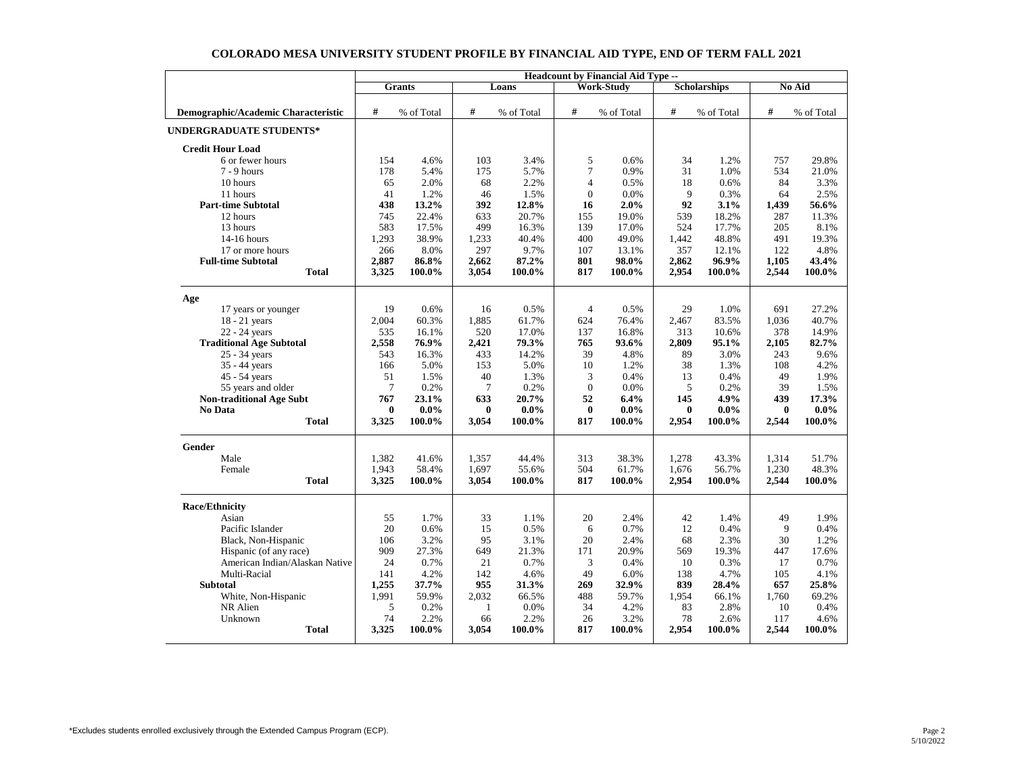|                                     | <b>Headcount by Financial Aid Type --</b> |               |                 |            |                  |                   |                     |            |          |            |  |
|-------------------------------------|-------------------------------------------|---------------|-----------------|------------|------------------|-------------------|---------------------|------------|----------|------------|--|
|                                     |                                           | <b>Grants</b> |                 | Loans      |                  | <b>Work-Study</b> | <b>Scholarships</b> |            | No Aid   |            |  |
|                                     |                                           |               |                 |            |                  |                   |                     |            |          |            |  |
| Demographic/Academic Characteristic | #                                         | % of Total    | #               | % of Total | $\#$             | % of Total        | #                   | % of Total | #        | % of Total |  |
| <b>UNDERGRADUATE STUDENTS*</b>      |                                           |               |                 |            |                  |                   |                     |            |          |            |  |
| <b>Credit Hour Load</b>             |                                           |               |                 |            |                  |                   |                     |            |          |            |  |
| 6 or fewer hours                    | 154                                       | 4.6%          | 103             | 3.4%       | 5                | 0.6%              | 34                  | 1.2%       | 757      | 29.8%      |  |
| $7 - 9$ hours                       | 178                                       | 5.4%          | 175             | 5.7%       | $\tau$           | 0.9%              | 31                  | 1.0%       | 534      | 21.0%      |  |
| 10 hours                            | 65                                        | 2.0%          | 68              | 2.2%       | 4                | 0.5%              | 18                  | 0.6%       | 84       | 3.3%       |  |
| 11 hours                            | 41                                        | 1.2%          | 46              | 1.5%       | $\boldsymbol{0}$ | 0.0%              | 9                   | 0.3%       | 64       | 2.5%       |  |
| <b>Part-time Subtotal</b>           | 438                                       | 13.2%         | 392             | 12.8%      | 16               | 2.0%              | 92                  | 3.1%       | 1,439    | 56.6%      |  |
| 12 hours                            | 745                                       | 22.4%         | 633             | 20.7%      | 155              | 19.0%             | 539                 | 18.2%      | 287      | 11.3%      |  |
| 13 hours                            | 583                                       | 17.5%         | 499             | 16.3%      | 139              | 17.0%             | 524                 | 17.7%      | 205      | 8.1%       |  |
| $14-16$ hours                       | 1,293                                     | 38.9%         | 1,233           | 40.4%      | 400              | 49.0%             | 1,442               | 48.8%      | 491      | 19.3%      |  |
| 17 or more hours                    | 266                                       | 8.0%          | 297             | 9.7%       | 107              | 13.1%             | 357                 | 12.1%      | 122      | 4.8%       |  |
| <b>Full-time Subtotal</b>           | 2,887                                     | 86.8%         | 2,662           | 87.2%      | 801              | 98.0%             | 2,862               | 96.9%      | 1,105    | 43.4%      |  |
| <b>Total</b>                        | 3,325                                     | 100.0%        | 3,054           | 100.0%     | 817              | 100.0%            | 2,954               | 100.0%     | 2,544    | 100.0%     |  |
| Age                                 |                                           |               |                 |            |                  |                   |                     |            |          |            |  |
| 17 years or younger                 | 19                                        | 0.6%          | 16              | 0.5%       | $\overline{4}$   | 0.5%              | 29                  | 1.0%       | 691      | 27.2%      |  |
| $18 - 21$ years                     | 2.004                                     | 60.3%         | 1.885           | 61.7%      | 624              | 76.4%             | 2,467               | 83.5%      | 1,036    | 40.7%      |  |
| 22 - 24 years                       | 535                                       | 16.1%         | 520             | 17.0%      | 137              | 16.8%             | 313                 | 10.6%      | 378      | 14.9%      |  |
| <b>Traditional Age Subtotal</b>     | 2,558                                     | 76.9%         | 2,421           | 79.3%      | 765              | 93.6%             | 2,809               | 95.1%      | 2,105    | 82.7%      |  |
| 25 - 34 years                       | 543                                       | 16.3%         | 433             | 14.2%      | 39               | 4.8%              | 89                  | 3.0%       | 243      | 9.6%       |  |
| 35 - 44 years                       | 166                                       | 5.0%          | 153             | 5.0%       | 10               | 1.2%              | 38                  | 1.3%       | 108      | 4.2%       |  |
| 45 - 54 years                       | 51                                        | 1.5%          | 40              | 1.3%       | 3                | 0.4%              | 13                  | 0.4%       | 49       | 1.9%       |  |
| 55 years and older                  | $\overline{7}$                            | 0.2%          | $7\phantom{.0}$ | 0.2%       | $\mathbf{0}$     | 0.0%              | 5                   | 0.2%       | 39       | 1.5%       |  |
| <b>Non-traditional Age Subt</b>     | 767                                       | 23.1%         | 633             | 20.7%      | 52               | 6.4%              | 145                 | 4.9%       | 439      | 17.3%      |  |
| No Data                             | $\bf{0}$                                  | $0.0\%$       | $\bf{0}$        | $0.0\%$    | $\bf{0}$         | $0.0\%$           | $\bf{0}$            | $0.0\%$    | $\bf{0}$ | $0.0\%$    |  |
| <b>Total</b>                        | 3,325                                     | 100.0%        | 3,054           | 100.0%     | 817              | 100.0%            | 2,954               | 100.0%     | 2,544    | 100.0%     |  |
| Gender                              |                                           |               |                 |            |                  |                   |                     |            |          |            |  |
| Male                                | 1,382                                     | 41.6%         | 1,357           | 44.4%      | 313              | 38.3%             | 1,278               | 43.3%      | 1,314    | 51.7%      |  |
| Female                              | 1,943                                     | 58.4%         | 1,697           | 55.6%      | 504              | 61.7%             | 1,676               | 56.7%      | 1,230    | 48.3%      |  |
| <b>Total</b>                        | 3,325                                     | 100.0%        | 3,054           | 100.0%     | 817              | 100.0%            | 2,954               | 100.0%     | 2,544    | 100.0%     |  |
| <b>Race/Ethnicity</b>               |                                           |               |                 |            |                  |                   |                     |            |          |            |  |
| Asian                               | 55                                        | 1.7%          | 33              | 1.1%       | 20               | 2.4%              | 42                  | 1.4%       | 49       | 1.9%       |  |
| Pacific Islander                    | 20                                        | 0.6%          | 15              | 0.5%       | 6                | 0.7%              | 12                  | 0.4%       | 9        | 0.4%       |  |
| Black, Non-Hispanic                 | 106                                       | 3.2%          | 95              | 3.1%       | 20               | 2.4%              | 68                  | 2.3%       | 30       | 1.2%       |  |
| Hispanic (of any race)              | 909                                       | 27.3%         | 649             | 21.3%      | 171              | 20.9%             | 569                 | 19.3%      | 447      | 17.6%      |  |
| American Indian/Alaskan Native      | 24                                        | 0.7%          | 21              | 0.7%       | 3                | 0.4%              | 10                  | 0.3%       | 17       | 0.7%       |  |
| Multi-Racial                        | 141                                       | 4.2%          | 142             | 4.6%       | 49               | 6.0%              | 138                 | 4.7%       | 105      | 4.1%       |  |
| <b>Subtotal</b>                     | 1,255                                     | 37.7%         | 955             | 31.3%      | 269              | 32.9%             | 839                 | 28.4%      | 657      | 25.8%      |  |
| White, Non-Hispanic                 | 1,991                                     | 59.9%         | 2,032           | 66.5%      | 488              | 59.7%             | 1,954               | 66.1%      | 1,760    | 69.2%      |  |
| NR Alien                            | 5                                         | 0.2%          | $\mathbf{1}$    | 0.0%       | 34               | 4.2%              | 83                  | 2.8%       | 10       | 0.4%       |  |
| Unknown                             | 74                                        | 2.2%          | 66              | 2.2%       | 26               | 3.2%              | 78                  | 2.6%       | 117      | 4.6%       |  |
| <b>Total</b>                        | 3,325                                     | 100.0%        | 3,054           | 100.0%     | 817              | 100.0%            | 2,954               | 100.0%     | 2,544    | 100.0%     |  |

## **COLORADO MESA UNIVERSITY STUDENT PROFILE BY FINANCIAL AID TYPE, END OF TERM FALL 2021**